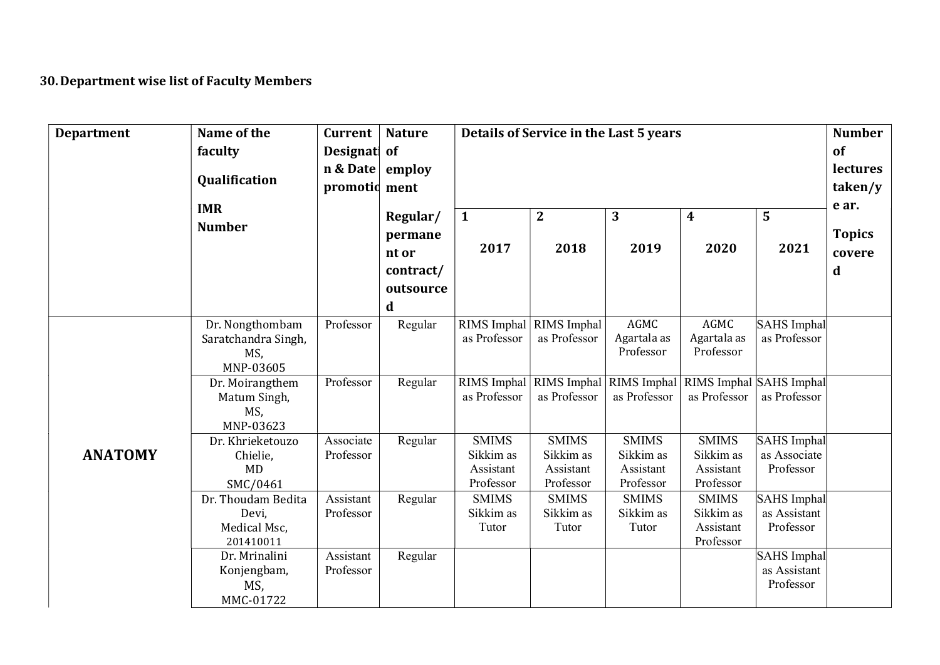## 30. Department wise list of Faculty Members

| <b>Department</b> | Name of the<br>faculty<br>Qualification                    | Current<br>Designati of<br>$n & Date \vert employ$<br>promotid ment | <b>Nature</b>                                               | Details of Service in the Last 5 years              |                                                     | <b>Number</b><br>of<br>lectures<br>taken/y                                          |                                                     |                                                 |                                       |
|-------------------|------------------------------------------------------------|---------------------------------------------------------------------|-------------------------------------------------------------|-----------------------------------------------------|-----------------------------------------------------|-------------------------------------------------------------------------------------|-----------------------------------------------------|-------------------------------------------------|---------------------------------------|
|                   | <b>IMR</b><br><b>Number</b>                                |                                                                     | Regular/<br>permane<br>nt or<br>contract/<br>outsource<br>d | $\mathbf{1}$<br>2017                                | $\boldsymbol{2}$<br>2018                            | 3<br>2019                                                                           | 4<br>2020                                           | 5<br>2021                                       | e ar.<br><b>Topics</b><br>covere<br>d |
|                   | Dr. Nongthombam<br>Saratchandra Singh,<br>MS,<br>MNP-03605 | Professor                                                           | Regular                                                     | as Professor                                        | RIMS Imphal RIMS Imphal<br>as Professor             | AGMC<br>Agartala as<br>Professor                                                    | AGMC<br>Agartala as<br>Professor                    | SAHS Imphal<br>as Professor                     |                                       |
|                   | Dr. Moirangthem<br>Matum Singh,<br>MS,<br>MNP-03623        | Professor                                                           | Regular                                                     | as Professor                                        | as Professor                                        | RIMS Imphal   RIMS Imphal   RIMS Imphal   RIMS Imphal   SAHS Imphal<br>as Professor | as Professor                                        | as Professor                                    |                                       |
| <b>ANATOMY</b>    | Dr. Khrieketouzo<br>Chielie,<br><b>MD</b><br>SMC/0461      | Associate<br>Professor                                              | Regular                                                     | <b>SMIMS</b><br>Sikkim as<br>Assistant<br>Professor | <b>SMIMS</b><br>Sikkim as<br>Assistant<br>Professor | <b>SMIMS</b><br>Sikkim as<br>Assistant<br>Professor                                 | <b>SMIMS</b><br>Sikkim as<br>Assistant<br>Professor | SAHS Imphal<br>as Associate<br>Professor        |                                       |
|                   | Dr. Thoudam Bedita<br>Devi,<br>Medical Msc,<br>201410011   | Assistant<br>Professor                                              | Regular                                                     | <b>SMIMS</b><br>Sikkim as<br>Tutor                  | <b>SMIMS</b><br>Sikkim as<br>Tutor                  | <b>SMIMS</b><br>Sikkim as<br>Tutor                                                  | <b>SMIMS</b><br>Sikkim as<br>Assistant<br>Professor | SAHS Imphal<br>as Assistant<br>Professor        |                                       |
|                   | Dr. Mrinalini<br>Konjengbam,<br>MS,<br>MMC-01722           | Assistant<br>Professor                                              | Regular                                                     |                                                     |                                                     |                                                                                     |                                                     | <b>SAHS</b> Imphal<br>as Assistant<br>Professor |                                       |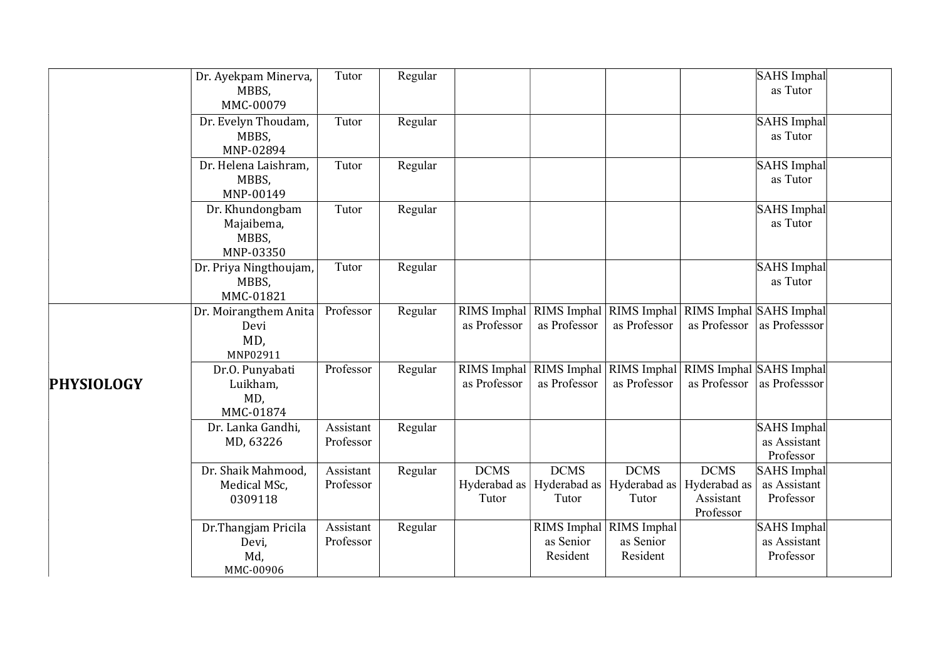|                   | Dr. Ayekpam Minerva,<br>MBBS,<br>MMC-00079          | Tutor                  | Regular |                                      |                                      |                                                     |                                                       | SAHS Imphal<br>as Tutor                         |  |
|-------------------|-----------------------------------------------------|------------------------|---------|--------------------------------------|--------------------------------------|-----------------------------------------------------|-------------------------------------------------------|-------------------------------------------------|--|
|                   | Dr. Evelyn Thoudam,<br>MBBS,<br>MNP-02894           | Tutor                  | Regular |                                      |                                      |                                                     |                                                       | SAHS Imphal<br>as Tutor                         |  |
|                   | Dr. Helena Laishram,<br>MBBS,<br>MNP-00149          | Tutor                  | Regular |                                      |                                      |                                                     |                                                       | SAHS Imphal<br>as Tutor                         |  |
|                   | Dr. Khundongbam<br>Majaibema,<br>MBBS,<br>MNP-03350 | Tutor                  | Regular |                                      |                                      |                                                     |                                                       | SAHS Imphal<br>as Tutor                         |  |
|                   | Dr. Priya Ningthoujam,<br>MBBS,<br>MMC-01821        | Tutor                  | Regular |                                      |                                      |                                                     |                                                       | SAHS Imphal<br>as Tutor                         |  |
|                   | Dr. Moirangthem Anita<br>Devi<br>MD,<br>MNP02911    | Professor              | Regular | as Professor                         | as Professor                         | RIMS Imphal RIMS Imphal RIMS Imphal<br>as Professor | RIMS Imphal SAHS Imphal<br>as Professor               | as Professsor                                   |  |
| <b>PHYSIOLOGY</b> | Dr.O. Punyabati<br>Luikham,<br>MD,<br>MMC-01874     | Professor              | Regular | as Professor                         | as Professor                         | RIMS Imphal RIMS Imphal RIMS Imphal<br>as Professor | RIMS Imphal SAHS Imphal<br>as Professor               | as Professsor                                   |  |
|                   | Dr. Lanka Gandhi,<br>MD, 63226                      | Assistant<br>Professor | Regular |                                      |                                      |                                                     |                                                       | SAHS Imphal<br>as Assistant<br>Professor        |  |
|                   | Dr. Shaik Mahmood,<br>Medical MSc,<br>0309118       | Assistant<br>Professor | Regular | <b>DCMS</b><br>Hyderabad as<br>Tutor | <b>DCMS</b><br>Hyderabad as<br>Tutor | <b>DCMS</b><br>Hyderabad as<br>Tutor                | <b>DCMS</b><br>Hyderabad as<br>Assistant<br>Professor | SAHS Imphal<br>as Assistant<br>Professor        |  |
|                   | Dr.Thangjam Pricila<br>Devi,<br>Md,<br>MMC-00906    | Assistant<br>Professor | Regular |                                      | as Senior<br>Resident                | RIMS Imphal RIMS Imphal<br>as Senior<br>Resident    |                                                       | <b>SAHS</b> Imphal<br>as Assistant<br>Professor |  |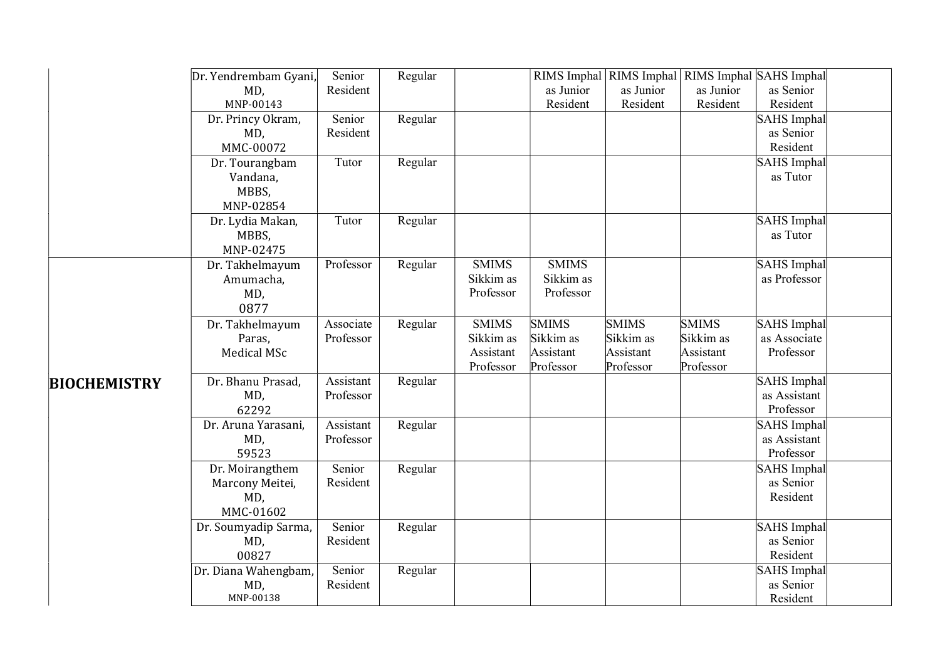|                     | Dr. Yendrembam Gyani,                                  | Senior                 | Regular |                                                     |                                                     |                                                     | RIMS Imphal RIMS Imphal RIMS Imphal SAHS Imphal     |                                             |  |
|---------------------|--------------------------------------------------------|------------------------|---------|-----------------------------------------------------|-----------------------------------------------------|-----------------------------------------------------|-----------------------------------------------------|---------------------------------------------|--|
|                     | MD,<br>MNP-00143                                       | Resident               |         |                                                     | as Junior<br>Resident                               | as Junior<br>Resident                               | as Junior<br>Resident                               | as Senior<br>Resident                       |  |
|                     | Dr. Princy Okram,                                      | Senior                 | Regular |                                                     |                                                     |                                                     |                                                     | SAHS Imphal                                 |  |
|                     | MD,<br>MMC-00072                                       | Resident               |         |                                                     |                                                     |                                                     |                                                     | as Senior<br>Resident                       |  |
|                     | Dr. Tourangbam<br>Vandana,<br>MBBS,                    | Tutor                  | Regular |                                                     |                                                     |                                                     |                                                     | SAHS Imphal<br>as Tutor                     |  |
|                     | MNP-02854<br>Dr. Lydia Makan,<br>MBBS,<br>MNP-02475    | Tutor                  | Regular |                                                     |                                                     |                                                     |                                                     | SAHS Imphal<br>as Tutor                     |  |
|                     | Dr. Takhelmayum<br>Amumacha,<br>MD,<br>0877            | Professor              | Regular | <b>SMIMS</b><br>Sikkim as<br>Professor              | <b>SMIMS</b><br>Sikkim as<br>Professor              |                                                     |                                                     | SAHS Imphal<br>as Professor                 |  |
|                     | Dr. Takhelmayum<br>Paras,<br>Medical MSc               | Associate<br>Professor | Regular | <b>SMIMS</b><br>Sikkim as<br>Assistant<br>Professor | <b>SMIMS</b><br>Sikkim as<br>Assistant<br>Professor | <b>SMIMS</b><br>Sikkim as<br>Assistant<br>Professor | <b>SMIMS</b><br>Sikkim as<br>Assistant<br>Professor | SAHS Imphal<br>as Associate<br>Professor    |  |
| <b>BIOCHEMISTRY</b> | Dr. Bhanu Prasad,<br>MD,<br>62292                      | Assistant<br>Professor | Regular |                                                     |                                                     |                                                     |                                                     | SAHS Imphal<br>as Assistant<br>Professor    |  |
|                     | Dr. Aruna Yarasani,<br>MD,<br>59523                    | Assistant<br>Professor | Regular |                                                     |                                                     |                                                     |                                                     | SAHS Imphal<br>as Assistant<br>Professor    |  |
|                     | Dr. Moirangthem<br>Marcony Meitei,<br>MD,<br>MMC-01602 | Senior<br>Resident     | Regular |                                                     |                                                     |                                                     |                                                     | SAHS Imphal<br>as Senior<br>Resident        |  |
|                     | Dr. Soumyadip Sarma,<br>MD,<br>00827                   | Senior<br>Resident     | Regular |                                                     |                                                     |                                                     |                                                     | SAHS Imphal<br>as Senior<br>Resident        |  |
|                     | Dr. Diana Wahengbam,<br>MD,<br>MNP-00138               | Senior<br>Resident     | Regular |                                                     |                                                     |                                                     |                                                     | <b>SAHS</b> Imphal<br>as Senior<br>Resident |  |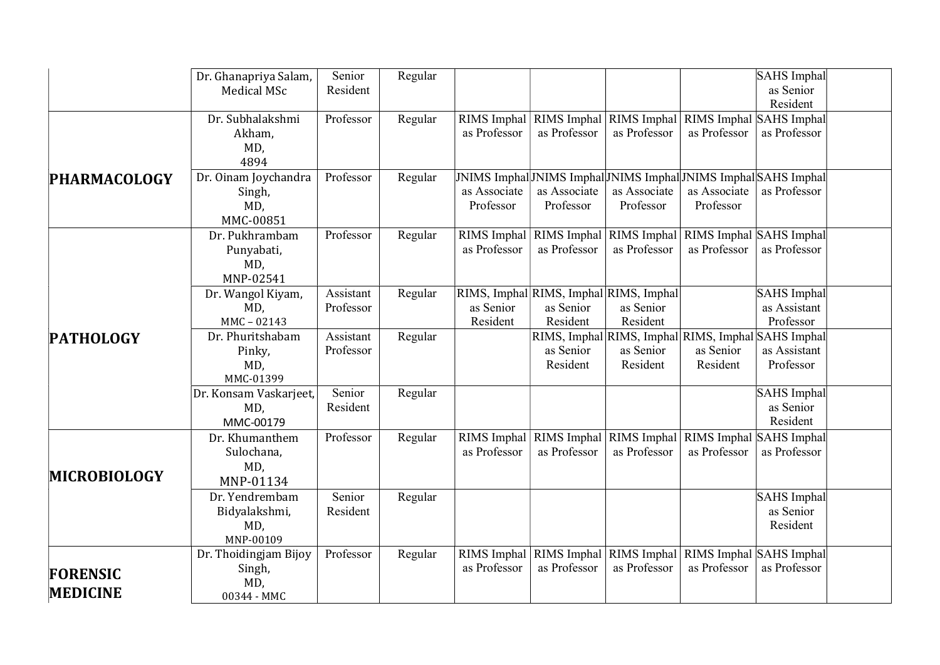|                                    | Dr. Ghanapriya Salam,<br><b>Medical MSc</b>           | Senior<br>Resident     | Regular |                             |                                                                 |                                                                                              |                                         | SAHS Imphal<br>as Senior<br>Resident     |  |
|------------------------------------|-------------------------------------------------------|------------------------|---------|-----------------------------|-----------------------------------------------------------------|----------------------------------------------------------------------------------------------|-----------------------------------------|------------------------------------------|--|
|                                    | Dr. Subhalakshmi<br>Akham,<br>MD,<br>4894             | Professor              | Regular | RIMS Imphal<br>as Professor | as Professor                                                    | RIMS Imphal RIMS Imphal<br>as Professor                                                      | RIMS Imphal SAHS Imphal<br>as Professor | as Professor                             |  |
| <b>PHARMACOLOGY</b>                | Dr. Oinam Joychandra<br>Singh,<br>MD,<br>MMC-00851    | Professor              | Regular | as Associate<br>Professor   | as Associate<br>Professor                                       | JNIMS Imphal JNIMS Imphal JNIMS Imphal JNIMS Imphal SAHS Imphal<br>as Associate<br>Professor | as Associate<br>Professor               | as Professor                             |  |
|                                    | Dr. Pukhrambam<br>Punyabati,<br>MD,<br>MNP-02541      | Professor              | Regular | RIMS Imphal<br>as Professor | as Professor                                                    | RIMS Imphal RIMS Imphal<br>as Professor                                                      | RIMS Imphal SAHS Imphal<br>as Professor | as Professor                             |  |
|                                    | Dr. Wangol Kiyam,<br>MD,<br>MMC-02143                 | Assistant<br>Professor | Regular | as Senior<br>Resident       | RIMS, Imphal RIMS, Imphal RIMS, Imphal<br>as Senior<br>Resident | as Senior<br>Resident                                                                        |                                         | SAHS Imphal<br>as Assistant<br>Professor |  |
| <b>PATHOLOGY</b>                   | Dr. Phuritshabam<br>Pinky,<br>MD,<br>MMC-01399        | Assistant<br>Professor | Regular |                             | as Senior<br>Resident                                           | RIMS, Imphal RIMS, Imphal RIMS, Imphal SAHS Imphal<br>as Senior<br>Resident                  | as Senior<br>Resident                   | as Assistant<br>Professor                |  |
|                                    | Dr. Konsam Vaskarjeet,<br>MD,<br>MMC-00179            | Senior<br>Resident     | Regular |                             |                                                                 |                                                                                              |                                         | SAHS Imphal<br>as Senior<br>Resident     |  |
| <b>MICROBIOLOGY</b>                | Dr. Khumanthem<br>Sulochana,<br>MD,<br>MNP-01134      | Professor              | Regular | RIMS Imphal<br>as Professor | as Professor                                                    | RIMS Imphal RIMS Imphal<br>as Professor                                                      | RIMS Imphal SAHS Imphal<br>as Professor | as Professor                             |  |
|                                    | Dr. Yendrembam<br>Bidyalakshmi,<br>MD,<br>MNP-00109   | Senior<br>Resident     | Regular |                             |                                                                 |                                                                                              |                                         | SAHS Imphal<br>as Senior<br>Resident     |  |
| <b>FORENSIC</b><br><b>MEDICINE</b> | Dr. Thoidingjam Bijoy<br>Singh,<br>MD,<br>00344 - MMC | Professor              | Regular | as Professor                | as Professor                                                    | RIMS Imphal RIMS Imphal RIMS Imphal<br>as Professor                                          | RIMS Imphal SAHS Imphal<br>as Professor | as Professor                             |  |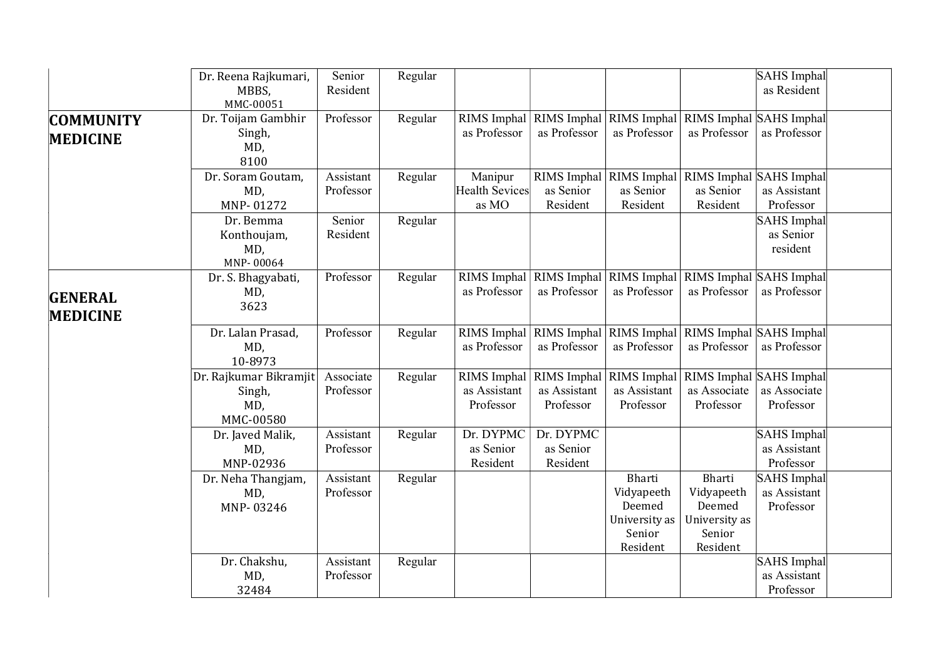|                                     | Dr. Reena Rajkumari,<br>MBBS,<br>MMC-00051           | Senior<br>Resident     | Regular |                                    |                                                      |                                                                       |                                                                             | SAHS Imphal<br>as Resident                      |  |
|-------------------------------------|------------------------------------------------------|------------------------|---------|------------------------------------|------------------------------------------------------|-----------------------------------------------------------------------|-----------------------------------------------------------------------------|-------------------------------------------------|--|
| <b>COMMUNITY</b><br><b>MEDICINE</b> | Dr. Toijam Gambhir<br>Singh,<br>MD,<br>8100          | Professor              | Regular | as Professor                       | as Professor                                         | as Professor                                                          | RIMS Imphal RIMS Imphal RIMS Imphal RIMS Imphal SAHS Imphal<br>as Professor | as Professor                                    |  |
|                                     | Dr. Soram Goutam,<br>MD,<br>MNP-01272                | Assistant<br>Professor | Regular | Manipur<br>Health Sevices<br>as MO | as Senior<br>Resident                                | as Senior<br>Resident                                                 | RIMS Imphal RIMS Imphal RIMS Imphal SAHS Imphal<br>as Senior<br>Resident    | as Assistant<br>Professor                       |  |
|                                     | Dr. Bemma<br>Konthoujam,<br>MD,<br>MNP-00064         | Senior<br>Resident     | Regular |                                    |                                                      |                                                                       |                                                                             | SAHS Imphal<br>as Senior<br>resident            |  |
| <b>GENERAL</b><br><b>MEDICINE</b>   | Dr. S. Bhagyabati,<br>MD,<br>3623                    | Professor              | Regular | as Professor                       | as Professor                                         | RIMS Imphal   RIMS Imphal   RIMS Imphal  <br>as Professor             | RIMS Imphal SAHS Imphal<br>as Professor                                     | as Professor                                    |  |
|                                     | Dr. Lalan Prasad,<br>MD,<br>10-8973                  | Professor              | Regular | RIMS Imphal<br>as Professor        | RIMS Imphal<br>as Professor                          | RIMS Imphal<br>as Professor                                           | RIMS Imphal SAHS Imphal<br>as Professor                                     | as Professor                                    |  |
|                                     | Dr. Rajkumar Bikramjit<br>Singh,<br>MD,<br>MMC-00580 | Associate<br>Professor | Regular | as Assistant<br>Professor          | RIMS Imphal RIMS Imphal<br>as Assistant<br>Professor | <b>RIMS</b> Imphal<br>as Assistant<br>Professor                       | RIMS Imphal SAHS Imphal<br>as Associate<br>Professor                        | as Associate<br>Professor                       |  |
|                                     | Dr. Javed Malik,<br>MD,<br>MNP-02936                 | Assistant<br>Professor | Regular | Dr. DYPMC<br>as Senior<br>Resident | Dr. DYPMC<br>as Senior<br>Resident                   |                                                                       |                                                                             | SAHS Imphal<br>as Assistant<br>Professor        |  |
|                                     | Dr. Neha Thangjam,<br>MD,<br>MNP-03246               | Assistant<br>Professor | Regular |                                    |                                                      | Bharti<br>Vidyapeeth<br>Deemed<br>University as<br>Senior<br>Resident | Bharti<br>Vidyapeeth<br>Deemed<br>University as<br>Senior<br>Resident       | SAHS Imphal<br>as Assistant<br>Professor        |  |
|                                     | Dr. Chakshu,<br>MD,<br>32484                         | Assistant<br>Professor | Regular |                                    |                                                      |                                                                       |                                                                             | <b>SAHS</b> Imphal<br>as Assistant<br>Professor |  |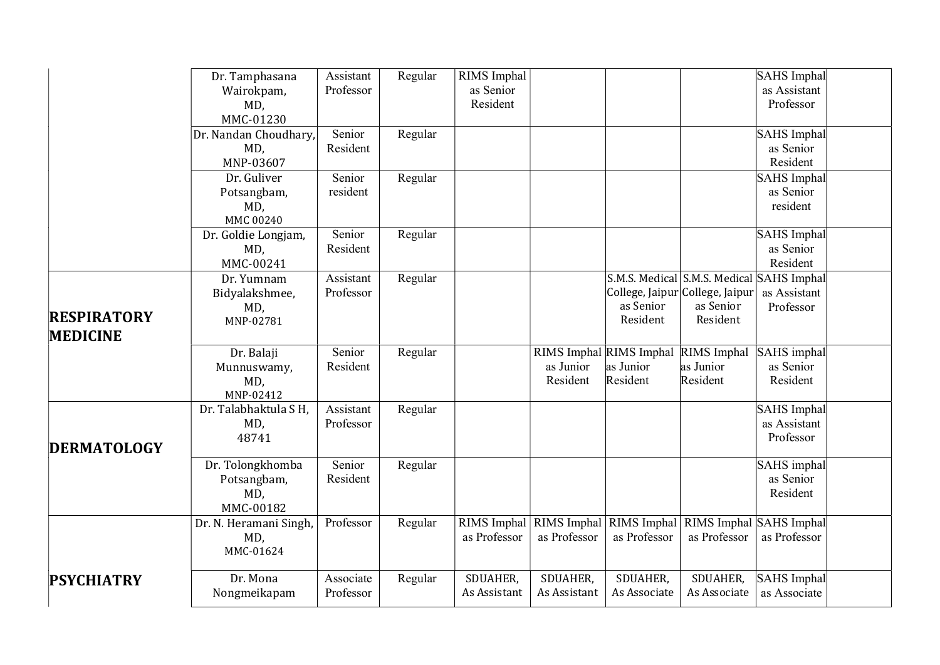|                    | Dr. Tamphasana         | Assistant | Regular | RIMS Imphal  |                                     |                         |                                           | SAHS Imphal        |  |
|--------------------|------------------------|-----------|---------|--------------|-------------------------------------|-------------------------|-------------------------------------------|--------------------|--|
|                    | Wairokpam,             | Professor |         | as Senior    |                                     |                         |                                           | as Assistant       |  |
|                    | MD,                    |           |         | Resident     |                                     |                         |                                           | Professor          |  |
|                    | MMC-01230              |           |         |              |                                     |                         |                                           |                    |  |
|                    | Dr. Nandan Choudhary,  | Senior    | Regular |              |                                     |                         |                                           | SAHS Imphal        |  |
|                    | MD,                    | Resident  |         |              |                                     |                         |                                           | as Senior          |  |
|                    | MNP-03607              |           |         |              |                                     |                         |                                           | Resident           |  |
|                    | Dr. Guliver            | Senior    | Regular |              |                                     |                         |                                           | SAHS Imphal        |  |
|                    | Potsangbam,            | resident  |         |              |                                     |                         |                                           | as Senior          |  |
|                    | MD,                    |           |         |              |                                     |                         |                                           | resident           |  |
|                    | MMC 00240              |           |         |              |                                     |                         |                                           |                    |  |
|                    | Dr. Goldie Longjam,    | Senior    | Regular |              |                                     |                         |                                           | SAHS Imphal        |  |
|                    | MD,                    | Resident  |         |              |                                     |                         |                                           | as Senior          |  |
|                    | MMC-00241              |           |         |              |                                     |                         |                                           | Resident           |  |
|                    | Dr. Yumnam             | Assistant | Regular |              |                                     |                         | S.M.S. Medical S.M.S. Medical SAHS Imphal |                    |  |
|                    | Bidyalakshmee,         | Professor |         |              |                                     |                         | College, Jaipur College, Jaipur           | as Assistant       |  |
| <b>RESPIRATORY</b> | MD,                    |           |         |              |                                     | as Senior               | as Senior                                 | Professor          |  |
|                    | MNP-02781              |           |         |              |                                     | Resident                | Resident                                  |                    |  |
| <b>MEDICINE</b>    |                        |           |         |              |                                     |                         |                                           |                    |  |
|                    | Dr. Balaji             | Senior    | Regular |              |                                     | RIMS Imphal RIMS Imphal | RIMS Imphal                               | SAHS imphal        |  |
|                    | Munnuswamy,            | Resident  |         |              | as Junior                           | as Junior               | as Junior                                 | as Senior          |  |
|                    | MD,                    |           |         |              | Resident                            | Resident                | Resident                                  | Resident           |  |
|                    | MNP-02412              |           |         |              |                                     |                         |                                           |                    |  |
|                    | Dr. Talabhaktula S H,  | Assistant | Regular |              |                                     |                         |                                           | SAHS Imphal        |  |
|                    | MD,                    | Professor |         |              |                                     |                         |                                           | as Assistant       |  |
| <b>DERMATOLOGY</b> | 48741                  |           |         |              |                                     |                         |                                           | Professor          |  |
|                    | Dr. Tolongkhomba       | Senior    | Regular |              |                                     |                         |                                           | SAHS imphal        |  |
|                    | Potsangbam,            | Resident  |         |              |                                     |                         |                                           | as Senior          |  |
|                    | MD,                    |           |         |              |                                     |                         |                                           | Resident           |  |
|                    | MMC-00182              |           |         |              |                                     |                         |                                           |                    |  |
|                    | Dr. N. Heramani Singh, | Professor | Regular |              | RIMS Imphal RIMS Imphal RIMS Imphal |                         | RIMS Imphal SAHS Imphal                   |                    |  |
|                    | MD,                    |           |         | as Professor | as Professor                        | as Professor            | as Professor                              | as Professor       |  |
|                    | MMC-01624              |           |         |              |                                     |                         |                                           |                    |  |
|                    |                        |           |         |              |                                     |                         |                                           |                    |  |
| <b>PSYCHIATRY</b>  | Dr. Mona               | Associate | Regular | SDUAHER,     | SDUAHER,                            | SDUAHER,                | SDUAHER,                                  | <b>SAHS</b> Imphal |  |
|                    | Nongmeikapam           | Professor |         | As Assistant | As Assistant                        | As Associate            | As Associate                              | as Associate       |  |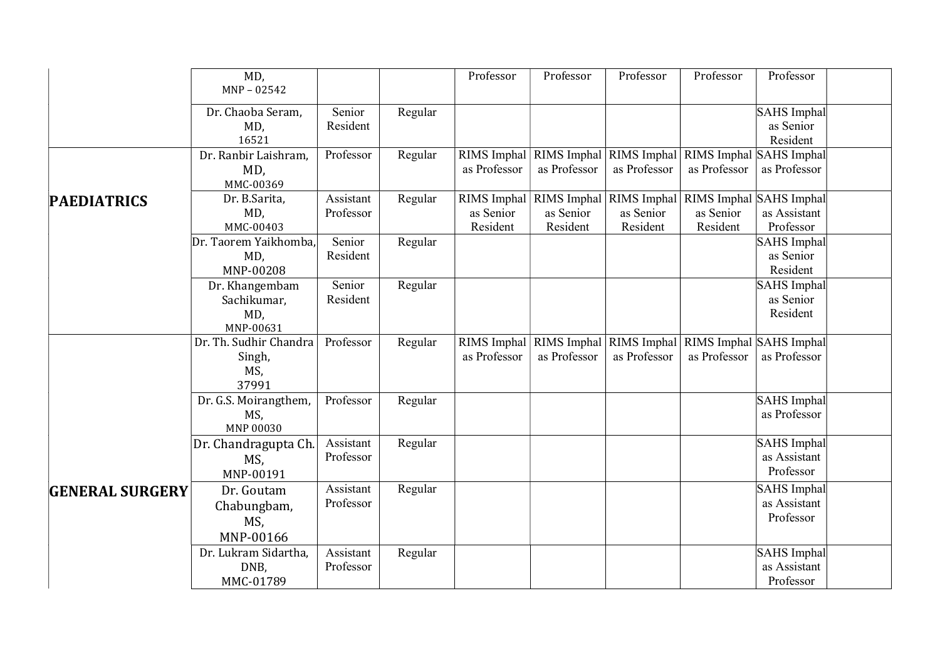|                        | MD,<br>$MNP - 02542$                              |                        |         | Professor             | Professor             | Professor                                           | Professor                                                                                    | Professor                                       |
|------------------------|---------------------------------------------------|------------------------|---------|-----------------------|-----------------------|-----------------------------------------------------|----------------------------------------------------------------------------------------------|-------------------------------------------------|
|                        | Dr. Chaoba Seram,<br>MD,<br>16521                 | Senior<br>Resident     | Regular |                       |                       |                                                     |                                                                                              | SAHS Imphal<br>as Senior<br>Resident            |
|                        | Dr. Ranbir Laishram,<br>MD,<br>MMC-00369          | Professor              | Regular | as Professor          | as Professor          | RIMS Imphal RIMS Imphal RIMS Imphal<br>as Professor | RIMS Imphal SAHS Imphal<br>as Professor                                                      | as Professor                                    |
| <b>PAEDIATRICS</b>     | Dr. B.Sarita,<br>MD,<br>MMC-00403                 | Assistant<br>Professor | Regular | as Senior<br>Resident | as Senior<br>Resident | as Senior<br>Resident                               | RIMS Imphal   RIMS Imphal   RIMS Imphal   RIMS Imphal   SAHS Imphal<br>as Senior<br>Resident | as Assistant<br>Professor                       |
|                        | Dr. Taorem Yaikhomba,<br>MD,<br>MNP-00208         | Senior<br>Resident     | Regular |                       |                       |                                                     |                                                                                              | SAHS Imphal<br>as Senior<br>Resident            |
|                        | Dr. Khangembam<br>Sachikumar,<br>MD,<br>MNP-00631 | Senior<br>Resident     | Regular |                       |                       |                                                     |                                                                                              | SAHS Imphal<br>as Senior<br>Resident            |
|                        | Dr. Th. Sudhir Chandra<br>Singh,<br>MS,<br>37991  | Professor              | Regular | as Professor          | as Professor          | RIMS Imphal RIMS Imphal RIMS Imphal<br>as Professor | RIMS Imphal SAHS Imphal<br>as Professor                                                      | as Professor                                    |
|                        | Dr. G.S. Moirangthem,<br>MS,<br>MNP 00030         | Professor              | Regular |                       |                       |                                                     |                                                                                              | SAHS Imphal<br>as Professor                     |
|                        | Dr. Chandragupta Ch.<br>MS,<br>MNP-00191          | Assistant<br>Professor | Regular |                       |                       |                                                     |                                                                                              | SAHS Imphal<br>as Assistant<br>Professor        |
| <b>GENERAL SURGERY</b> | Dr. Goutam<br>Chabungbam,<br>MS,<br>MNP-00166     | Assistant<br>Professor | Regular |                       |                       |                                                     |                                                                                              | SAHS Imphal<br>as Assistant<br>Professor        |
|                        | Dr. Lukram Sidartha,<br>DNB,<br>MMC-01789         | Assistant<br>Professor | Regular |                       |                       |                                                     |                                                                                              | <b>SAHS</b> Imphal<br>as Assistant<br>Professor |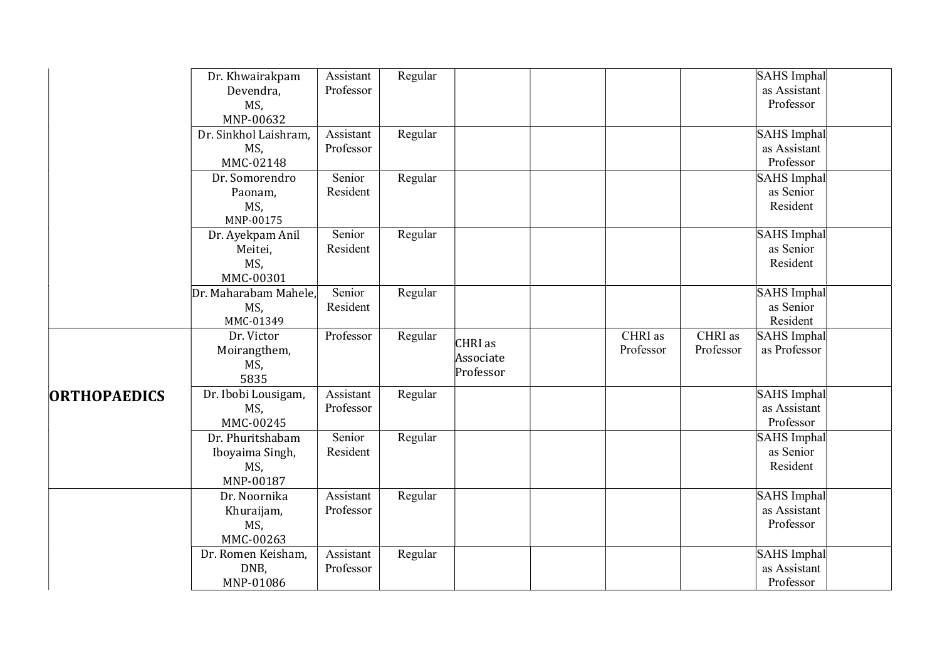|                     | Dr. Khwairakpam<br>Devendra,<br>MS,<br>MNP-00632        | Assistant<br>Professor | Regular |                                   |                      |                      | SAHS Imphal<br>as Assistant<br>Professor        |  |
|---------------------|---------------------------------------------------------|------------------------|---------|-----------------------------------|----------------------|----------------------|-------------------------------------------------|--|
|                     | Dr. Sinkhol Laishram,<br>MS,<br>MMC-02148               | Assistant<br>Professor | Regular |                                   |                      |                      | SAHS Imphal<br>as Assistant<br>Professor        |  |
|                     | Dr. Somorendro<br>Paonam,<br>MS,<br>MNP-00175           | Senior<br>Resident     | Regular |                                   |                      |                      | SAHS Imphal<br>as Senior<br>Resident            |  |
|                     | Dr. Ayekpam Anil<br>Meitei,<br>MS,<br>MMC-00301         | Senior<br>Resident     | Regular |                                   |                      |                      | SAHS Imphal<br>as Senior<br>Resident            |  |
|                     | Dr. Maharabam Mahele,<br>MS,<br>MMC-01349               | Senior<br>Resident     | Regular |                                   |                      |                      | SAHS Imphal<br>as Senior<br>Resident            |  |
|                     | Dr. Victor<br>Moirangthem,<br>MS,<br>5835               | Professor              | Regular | CHRI as<br>Associate<br>Professor | CHRI as<br>Professor | CHRI as<br>Professor | SAHS Imphal<br>as Professor                     |  |
| <b>ORTHOPAEDICS</b> | Dr. Ibobi Lousigam,<br>MS,<br>MMC-00245                 | Assistant<br>Professor | Regular |                                   |                      |                      | SAHS Imphal<br>as Assistant<br>Professor        |  |
|                     | Dr. Phuritshabam<br>Iboyaima Singh,<br>MS,<br>MNP-00187 | Senior<br>Resident     | Regular |                                   |                      |                      | SAHS Imphal<br>as Senior<br>Resident            |  |
|                     | Dr. Noornika<br>Khuraijam,<br>MS,<br>MMC-00263          | Assistant<br>Professor | Regular |                                   |                      |                      | SAHS Imphal<br>as Assistant<br>Professor        |  |
|                     | Dr. Romen Keisham,<br>DNB,<br>MNP-01086                 | Assistant<br>Professor | Regular |                                   |                      |                      | <b>SAHS</b> Imphal<br>as Assistant<br>Professor |  |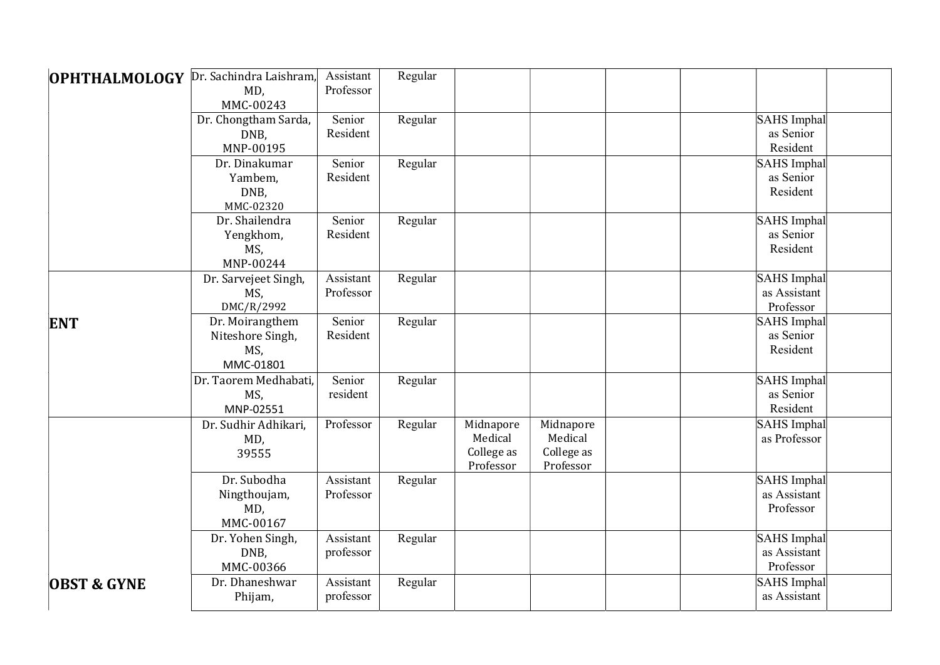| <b>OPHTHALMOLOGY</b>   | Dr. Sachindra Laishram,<br>MD,<br>MMC-00243             | Assistant<br>Professor | Regular |                                                 |                                                 |                                          |
|------------------------|---------------------------------------------------------|------------------------|---------|-------------------------------------------------|-------------------------------------------------|------------------------------------------|
|                        | Dr. Chongtham Sarda,<br>DNB,<br>MNP-00195               | Senior<br>Resident     | Regular |                                                 |                                                 | SAHS Imphal<br>as Senior<br>Resident     |
|                        | Dr. Dinakumar<br>Yambem,<br>DNB,<br>MMC-02320           | Senior<br>Resident     | Regular |                                                 |                                                 | SAHS Imphal<br>as Senior<br>Resident     |
|                        | Dr. Shailendra<br>Yengkhom,<br>MS,<br>MNP-00244         | Senior<br>Resident     | Regular |                                                 |                                                 | SAHS Imphal<br>as Senior<br>Resident     |
|                        | Dr. Sarvejeet Singh,<br>MS,<br>DMC/R/2992               | Assistant<br>Professor | Regular |                                                 |                                                 | SAHS Imphal<br>as Assistant<br>Professor |
| <b>ENT</b>             | Dr. Moirangthem<br>Niteshore Singh,<br>MS,<br>MMC-01801 | Senior<br>Resident     | Regular |                                                 |                                                 | SAHS Imphal<br>as Senior<br>Resident     |
|                        | Dr. Taorem Medhabati,<br>MS,<br>MNP-02551               | Senior<br>resident     | Regular |                                                 |                                                 | SAHS Imphal<br>as Senior<br>Resident     |
|                        | Dr. Sudhir Adhikari,<br>MD,<br>39555                    | Professor              | Regular | Midnapore<br>Medical<br>College as<br>Professor | Midnapore<br>Medical<br>College as<br>Professor | SAHS Imphal<br>as Professor              |
|                        | Dr. Subodha<br>Ningthoujam,<br>MD,<br>MMC-00167         | Assistant<br>Professor | Regular |                                                 |                                                 | SAHS Imphal<br>as Assistant<br>Professor |
|                        | Dr. Yohen Singh,<br>DNB,<br>MMC-00366                   | Assistant<br>professor | Regular |                                                 |                                                 | SAHS Imphal<br>as Assistant<br>Professor |
| <b>OBST &amp; GYNE</b> | Dr. Dhaneshwar<br>Phijam,                               | Assistant<br>professor | Regular |                                                 |                                                 | <b>SAHS</b> Imphal<br>as Assistant       |